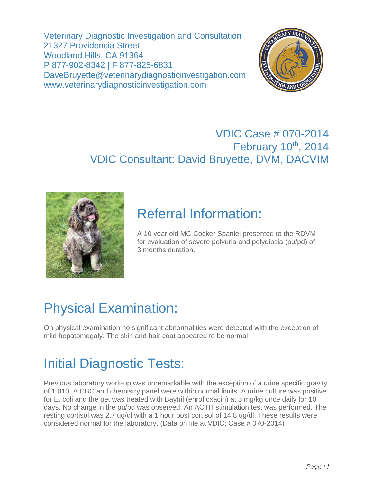Veterinary Diagnostic Investigation and Consultation 21327 Providencia Street Woodland Hills, CA 91364 P 877-902-8342 | F 877-825-6831 DaveBruyette@veterinarydiagnosticinvestigation.com www.veterinarydiagnosticinvestigation.com



#### VDIC Case # 070-2014 February 10<sup>th</sup>, 2014 VDIC Consultant: David Bruyette, DVM, DACVIM



### Referral Information:

A 10 year old MC Cocker Spaniel presented to the RDVM for evaluation of severe polyuria and polydipsia (pu/pd) of 3 months duration.

# Physical Examination:

On physical examination no significant abnormalities were detected with the exception of mild hepatomegaly. The skin and hair coat appeared to be normal.

# Initial Diagnostic Tests:

Previous laboratory work-up was unremarkable with the exception of a urine specific gravity of 1.010. A CBC and chemistry panel were within normal limits. A urine culture was positive for E. coli and the pet was treated with Baytril (enrofloxacin) at 5 mg/kg once daily for 10 days. No change in the pu/pd was observed. An ACTH stimulation test was performed. The resting cortisol was 2.7 ug/dl with a 1 hour post cortisol of 14.8 ug/dl. These results were considered normal for the laboratory. (Data on file at VDIC; Case # 070-2014)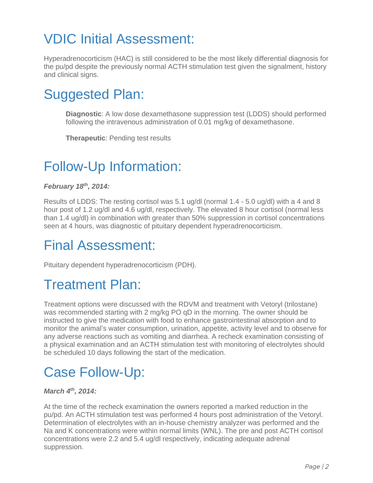# VDIC Initial Assessment:

Hyperadrenocorticism (HAC) is still considered to be the most likely differential diagnosis for the pu/pd despite the previously normal ACTH stimulation test given the signalment, history and clinical signs.

## Suggested Plan:

**Diagnostic**: A low dose dexamethasone suppression test (LDDS) should performed following the intravenous administration of 0.01 mg/kg of dexamethasone.

**Therapeutic**: Pending test results

## Follow-Up Information:

#### *February 18th, 2014:*

Results of LDDS: The resting cortisol was 5.1 ug/dl (normal 1.4 - 5.0 ug/dl) with a 4 and 8 hour post of 1.2 ug/dl and 4.6 ug/dl, respectively. The elevated 8 hour cortisol (normal less than 1.4 ug/dl) in combination with greater than 50% suppression in cortisol concentrations seen at 4 hours, was diagnostic of pituitary dependent hyperadrenocorticism.

### Final Assessment:

Pituitary dependent hyperadrenocorticism (PDH).

### Treatment Plan:

Treatment options were discussed with the RDVM and treatment with Vetoryl (trilostane) was recommended starting with 2 mg/kg PO qD in the morning. The owner should be instructed to give the medication with food to enhance gastrointestinal absorption and to monitor the animal's water consumption, urination, appetite, activity level and to observe for any adverse reactions such as vomiting and diarrhea. A recheck examination consisting of a physical examination and an ACTH stimulation test with monitoring of electrolytes should be scheduled 10 days following the start of the medication.

### Case Follow-Up:

#### *March 4<sup>th</sup>*, 2014:

At the time of the recheck examination the owners reported a marked reduction in the pu/pd. An ACTH stimulation test was performed 4 hours post administration of the Vetoryl. Determination of electrolytes with an in-house chemistry analyzer was performed and the Na and K concentrations were within normal limits (WNL). The pre and post ACTH cortisol concentrations were 2.2 and 5.4 ug/dl respectively, indicating adequate adrenal suppression.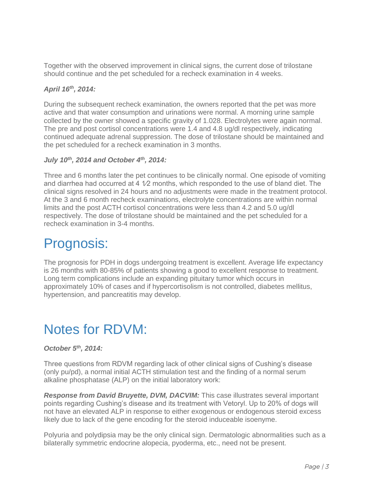Together with the observed improvement in clinical signs, the current dose of trilostane should continue and the pet scheduled for a recheck examination in 4 weeks.

#### *April 16th, 2014:*

During the subsequent recheck examination, the owners reported that the pet was more active and that water consumption and urinations were normal. A morning urine sample collected by the owner showed a specific gravity of 1.028. Electrolytes were again normal. The pre and post cortisol concentrations were 1.4 and 4.8 ug/dl respectively, indicating continued adequate adrenal suppression. The dose of trilostane should be maintained and the pet scheduled for a recheck examination in 3 months.

#### *July 10th, 2014 and October 4th, 2014:*

Three and 6 months later the pet continues to be clinically normal. One episode of vomiting and diarrhea had occurred at 4  $1/2$  months, which responded to the use of bland diet. The clinical signs resolved in 24 hours and no adjustments were made in the treatment protocol. At the 3 and 6 month recheck examinations, electrolyte concentrations are within normal limits and the post ACTH cortisol concentrations were less than 4.2 and 5.0 ug/dl respectively. The dose of trilostane should be maintained and the pet scheduled for a recheck examination in 3-4 months.

#### Prognosis:

The prognosis for PDH in dogs undergoing treatment is excellent. Average life expectancy is 26 months with 80-85% of patients showing a good to excellent response to treatment. Long term complications include an expanding pituitary tumor which occurs in approximately 10% of cases and if hypercortisolism is not controlled, diabetes mellitus, hypertension, and pancreatitis may develop.

### Notes for RDVM:

#### *October 5th, 2014:*

Three questions from RDVM regarding lack of other clinical signs of Cushing's disease (only pu/pd), a normal initial ACTH stimulation test and the finding of a normal serum alkaline phosphatase (ALP) on the initial laboratory work:

*Response from David Bruyette, DVM, DACVIM:* This case illustrates several important points regarding Cushing's disease and its treatment with Vetoryl. Up to 20% of dogs will not have an elevated ALP in response to either exogenous or endogenous steroid excess likely due to lack of the gene encoding for the steroid induceable isoenyme.

Polyuria and polydipsia may be the only clinical sign. Dermatologic abnormalities such as a bilaterally symmetric endocrine alopecia, pyoderma, etc., need not be present.